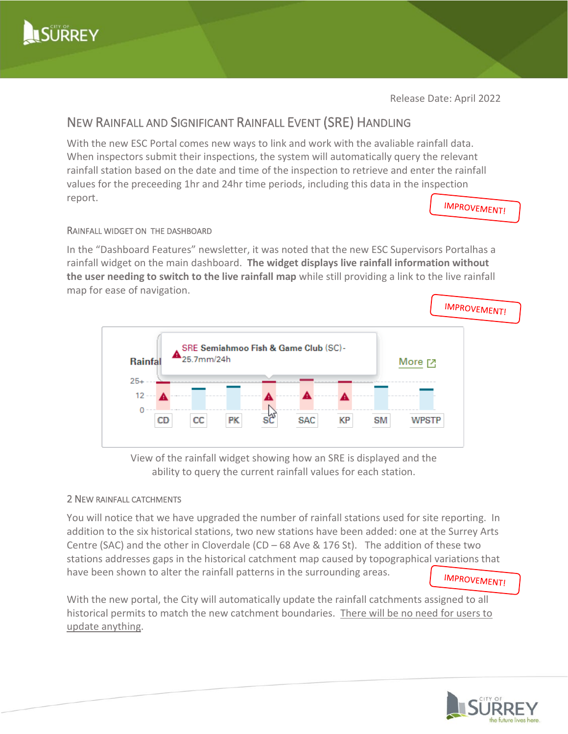

Release Date: April 2022

# NEW RAINFALL AND SIGNIFICANT RAINFALL EVENT (SRE) HANDLING

With the new ESC Portal comes new ways to link and work with the avaliable rainfall data. When inspectors submit their inspections, the system will automatically query the relevant rainfall station based on the date and time of the inspection to retrieve and enter the rainfall values for the preceeding 1hr and 24hr time periods, including this data in the inspection report.

**IMPROVEMENT!** 

# RAINFALL WIDGET ON THE DASHBOARD

In the "Dashboard Features" newsletter, it was noted that the new ESC Supervisors Portalhas a rainfall widget on the main dashboard. **The widget displays live rainfall information without the user needing to switch to the live rainfall map** while still providing a link to the live rainfall map for ease of navigation.



View of the rainfall widget showing how an SRE is displayed and the ability to query the current rainfall values for each station.

# 2 NEW RAINFALL CATCHMENTS

You will notice that we have upgraded the number of rainfall stations used for site reporting. In addition to the six historical stations, two new stations have been added: one at the Surrey Arts Centre (SAC) and the other in Cloverdale (CD – 68 Ave & 176 St). The addition of these two stations addresses gaps in the historical catchment map caused by topographical variations that have been shown to alter the rainfall patterns in the surrounding areas.

**IMPROVEMENT!** 

With the new portal, the City will automatically update the rainfall catchments assigned to all historical permits to match the new catchment boundaries. There will be no need for users to update anything.

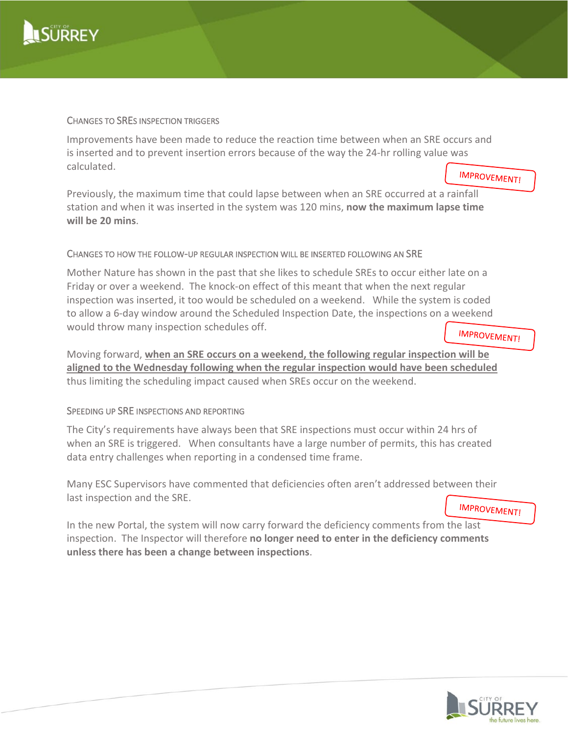

#### CHANGES TO SRES INSPECTION TRIGGERS

Improvements have been made to reduce the reaction time between when an SRE occurs and is inserted and to prevent insertion errors because of the way the 24-hr rolling value was calculated.

**IMPROVEMENT!** 

Previously, the maximum time that could lapse between when an SRE occurred at a rainfall station and when it was inserted in the system was 120 mins, **now the maximum lapse time will be 20 mins**.

# CHANGES TO HOW THE FOLLOW-UP REGULAR INSPECTION WILL BE INSERTED FOLLOWING AN SRE

Mother Nature has shown in the past that she likes to schedule SREs to occur either late on a Friday or over a weekend. The knock-on effect of this meant that when the next regular inspection was inserted, it too would be scheduled on a weekend. While the system is coded to allow a 6-day window around the Scheduled Inspection Date, the inspections on a weekend would throw many inspection schedules off.

**IMPROVEMENT!** 

Moving forward, **when an SRE occurs on a weekend, the following regular inspection will be aligned to the Wednesday following when the regular inspection would have been scheduled** thus limiting the scheduling impact caused when SREs occur on the weekend.

# SPEEDING UP SRE INSPECTIONS AND REPORTING

The City's requirements have always been that SRE inspections must occur within 24 hrs of when an SRE is triggered. When consultants have a large number of permits, this has created data entry challenges when reporting in a condensed time frame.

Many ESC Supervisors have commented that deficiencies often aren't addressed between their last inspection and the SRE. **IMPROVEMENT!** 

In the new Portal, the system will now carry forward the deficiency comments from the last inspection. The Inspector will therefore **no longer need to enter in the deficiency comments unless there has been a change between inspections**.